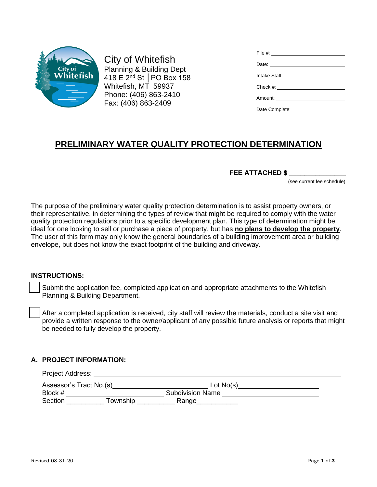

City of Whitefish Planning & Building Dept 418 E 2nd St │PO Box 158 Whitefish, MT 59937 Phone: (406) 863-2410 Fax: (406) 863-2409

| File #: $\_$                   |
|--------------------------------|
|                                |
|                                |
|                                |
| Amount: ______________________ |
|                                |

# **PRELIMINARY WATER QUALITY PROTECTION DETERMINATION**

#### **FEE ATTACHED \$ \_\_\_\_\_\_\_\_\_\_\_\_\_\_\_**

(see current fee schedule)

The purpose of the preliminary water quality protection determination is to assist property owners, or their representative, in determining the types of review that might be required to comply with the water quality protection regulations prior to a specific development plan. This type of determination might be ideal for one looking to sell or purchase a piece of property, but has **no plans to develop the property**. The user of this form may only know the general boundaries of a building improvement area or building envelope, but does not know the exact footprint of the building and driveway.

#### **INSTRUCTIONS:**

Submit the application fee, completed application and appropriate attachments to the Whitefish Planning & Building Department.

After a completed application is received, city staff will review the materials, conduct a site visit and provide a written response to the owner/applicant of any possible future analysis or reports that might be needed to fully develop the property.

#### **A. PROJECT INFORMATION:**

Project Address: Assessor's Tract No.(s)\_\_\_\_\_\_\_\_\_\_\_\_\_\_\_\_\_\_\_\_\_\_\_\_\_\_\_\_\_\_\_\_\_\_Lot No(s)\_\_\_\_\_\_\_\_\_\_\_\_\_\_\_ Block # Subdivision Name Section \_\_\_\_\_\_\_\_\_\_ Township \_\_\_\_\_\_\_\_\_\_ Range\_\_\_\_\_\_\_\_\_\_\_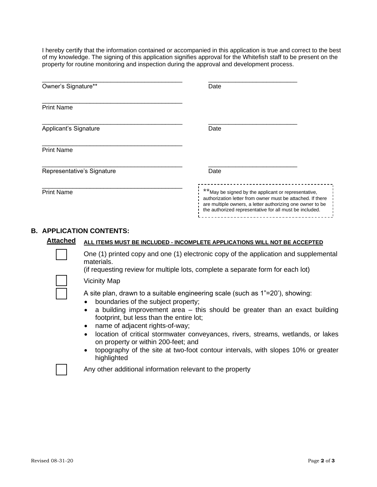I hereby certify that the information contained or accompanied in this application is true and correct to the best of my knowledge. The signing of this application signifies approval for the Whitefish staff to be present on the property for routine monitoring and inspection during the approval and development process.

| Owner's Signature**        | Date                                                                                                                                                                                                                                      |
|----------------------------|-------------------------------------------------------------------------------------------------------------------------------------------------------------------------------------------------------------------------------------------|
| <b>Print Name</b>          |                                                                                                                                                                                                                                           |
| Applicant's Signature      | Date                                                                                                                                                                                                                                      |
| <b>Print Name</b>          |                                                                                                                                                                                                                                           |
| Representative's Signature | Date                                                                                                                                                                                                                                      |
| <b>Print Name</b>          | **May be signed by the applicant or representative,<br>authorization letter from owner must be attached. If there<br>are multiple owners, a letter authorizing one owner to be<br>the authorized representative for all must be included. |

### **B. APPLICATION CONTENTS:**

| <b>Attached</b> | ALL ITEMS MUST BE INCLUDED - INCOMPLETE APPLICATIONS WILL NOT BE ACCEPTED                                                                                                                                                                                                                                                                                                                                                                                                                                                                                                           |  |
|-----------------|-------------------------------------------------------------------------------------------------------------------------------------------------------------------------------------------------------------------------------------------------------------------------------------------------------------------------------------------------------------------------------------------------------------------------------------------------------------------------------------------------------------------------------------------------------------------------------------|--|
|                 | One (1) printed copy and one (1) electronic copy of the application and supplemental<br>materials.<br>(if requesting review for multiple lots, complete a separate form for each lot)                                                                                                                                                                                                                                                                                                                                                                                               |  |
|                 | <b>Vicinity Map</b>                                                                                                                                                                                                                                                                                                                                                                                                                                                                                                                                                                 |  |
|                 | A site plan, drawn to a suitable engineering scale (such as 1"=20"), showing:<br>boundaries of the subject property;<br>$\bullet$<br>a building improvement area $-$ this should be greater than an exact building<br>$\bullet$<br>footprint, but less than the entire lot;<br>name of adjacent rights-of-way;<br>$\bullet$<br>location of critical stormwater conveyances, rivers, streams, wetlands, or lakes<br>$\bullet$<br>on property or within 200-feet; and<br>topography of the site at two-foot contour intervals, with slopes 10% or greater<br>$\bullet$<br>highlighted |  |
|                 | Any other additional information relevant to the property                                                                                                                                                                                                                                                                                                                                                                                                                                                                                                                           |  |